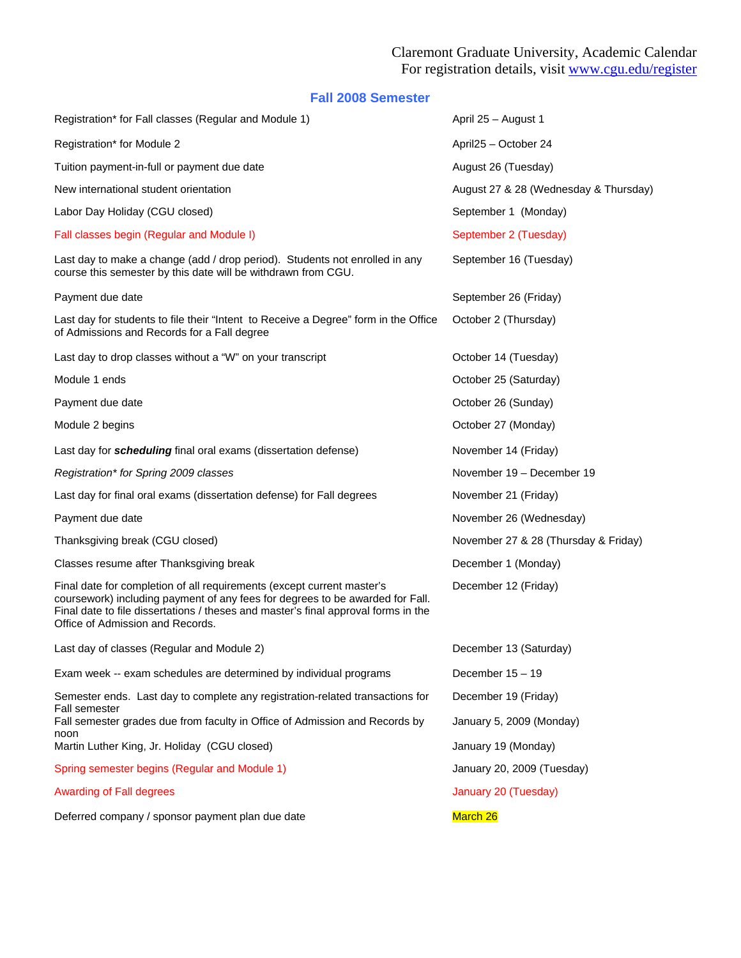## Claremont Graduate University, Academic Calendar For registration details, visit www.cgu.edu/register

## **Fall 2008 Semester**

| Registration* for Fall classes (Regular and Module 1)                                                                                                                                                                                                                             | April 25 - August 1                   |  |
|-----------------------------------------------------------------------------------------------------------------------------------------------------------------------------------------------------------------------------------------------------------------------------------|---------------------------------------|--|
| Registration* for Module 2                                                                                                                                                                                                                                                        | April25 - October 24                  |  |
| Tuition payment-in-full or payment due date                                                                                                                                                                                                                                       | August 26 (Tuesday)                   |  |
| New international student orientation                                                                                                                                                                                                                                             | August 27 & 28 (Wednesday & Thursday) |  |
| Labor Day Holiday (CGU closed)                                                                                                                                                                                                                                                    | September 1 (Monday)                  |  |
| Fall classes begin (Regular and Module I)                                                                                                                                                                                                                                         | September 2 (Tuesday)                 |  |
| Last day to make a change (add / drop period). Students not enrolled in any<br>course this semester by this date will be withdrawn from CGU.                                                                                                                                      | September 16 (Tuesday)                |  |
| Payment due date                                                                                                                                                                                                                                                                  | September 26 (Friday)                 |  |
| Last day for students to file their "Intent to Receive a Degree" form in the Office<br>of Admissions and Records for a Fall degree                                                                                                                                                | October 2 (Thursday)                  |  |
| Last day to drop classes without a "W" on your transcript                                                                                                                                                                                                                         | October 14 (Tuesday)                  |  |
| Module 1 ends                                                                                                                                                                                                                                                                     | October 25 (Saturday)                 |  |
| Payment due date                                                                                                                                                                                                                                                                  | October 26 (Sunday)                   |  |
| Module 2 begins                                                                                                                                                                                                                                                                   | October 27 (Monday)                   |  |
| Last day for <i>scheduling</i> final oral exams (dissertation defense)                                                                                                                                                                                                            | November 14 (Friday)                  |  |
| Registration* for Spring 2009 classes                                                                                                                                                                                                                                             | November 19 - December 19             |  |
| Last day for final oral exams (dissertation defense) for Fall degrees                                                                                                                                                                                                             | November 21 (Friday)                  |  |
| Payment due date                                                                                                                                                                                                                                                                  | November 26 (Wednesday)               |  |
| Thanksgiving break (CGU closed)                                                                                                                                                                                                                                                   | November 27 & 28 (Thursday & Friday)  |  |
| Classes resume after Thanksgiving break                                                                                                                                                                                                                                           | December 1 (Monday)                   |  |
| Final date for completion of all requirements (except current master's<br>coursework) including payment of any fees for degrees to be awarded for Fall.<br>Final date to file dissertations / theses and master's final approval forms in the<br>Office of Admission and Records. | December 12 (Friday)                  |  |
| Last day of classes (Regular and Module 2)                                                                                                                                                                                                                                        | December 13 (Saturday)                |  |
| Exam week -- exam schedules are determined by individual programs                                                                                                                                                                                                                 | December 15 - 19                      |  |
| Semester ends. Last day to complete any registration-related transactions for                                                                                                                                                                                                     | December 19 (Friday)                  |  |
| Fall semester<br>Fall semester grades due from faculty in Office of Admission and Records by                                                                                                                                                                                      | January 5, 2009 (Monday)              |  |
| noon<br>Martin Luther King, Jr. Holiday (CGU closed)                                                                                                                                                                                                                              | January 19 (Monday)                   |  |
| Spring semester begins (Regular and Module 1)                                                                                                                                                                                                                                     | January 20, 2009 (Tuesday)            |  |
| <b>Awarding of Fall degrees</b>                                                                                                                                                                                                                                                   | January 20 (Tuesday)                  |  |
| Deferred company / sponsor payment plan due date                                                                                                                                                                                                                                  | March 26                              |  |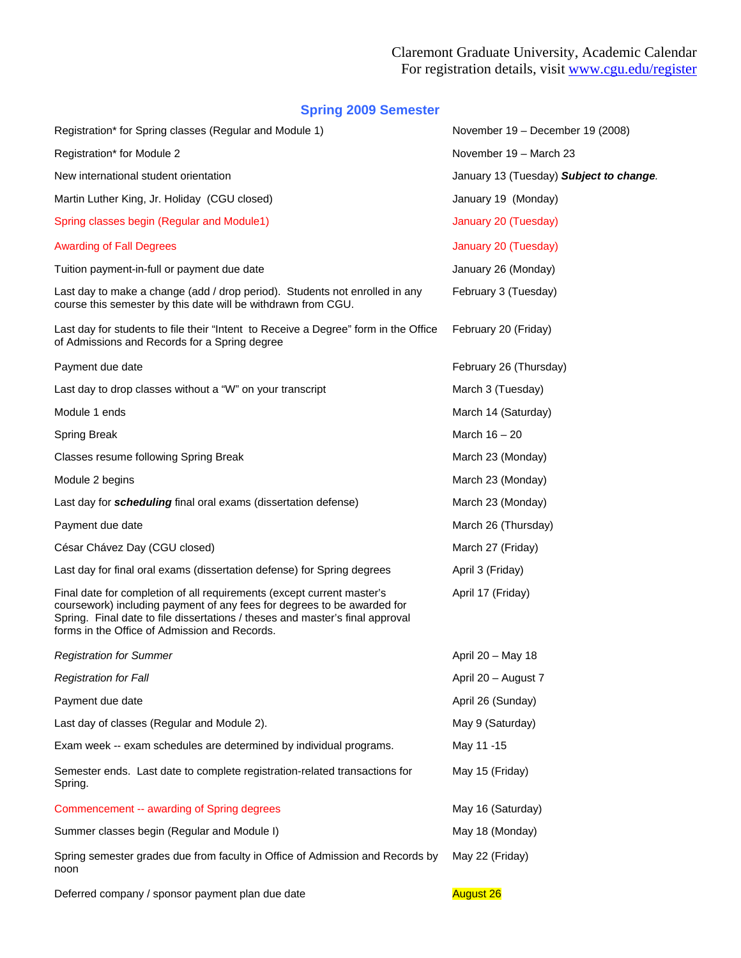## **Spring 2009 Semester**

| Registration* for Spring classes (Regular and Module 1)                                                                                                                                                                                                                             | November 19 - December 19 (2008)        |
|-------------------------------------------------------------------------------------------------------------------------------------------------------------------------------------------------------------------------------------------------------------------------------------|-----------------------------------------|
| Registration* for Module 2                                                                                                                                                                                                                                                          | November 19 - March 23                  |
| New international student orientation                                                                                                                                                                                                                                               | January 13 (Tuesday) Subject to change. |
| Martin Luther King, Jr. Holiday (CGU closed)                                                                                                                                                                                                                                        | January 19 (Monday)                     |
| Spring classes begin (Regular and Module1)                                                                                                                                                                                                                                          | January 20 (Tuesday)                    |
| <b>Awarding of Fall Degrees</b>                                                                                                                                                                                                                                                     | January 20 (Tuesday)                    |
| Tuition payment-in-full or payment due date                                                                                                                                                                                                                                         | January 26 (Monday)                     |
| Last day to make a change (add / drop period). Students not enrolled in any<br>course this semester by this date will be withdrawn from CGU.                                                                                                                                        | February 3 (Tuesday)                    |
| Last day for students to file their "Intent to Receive a Degree" form in the Office<br>of Admissions and Records for a Spring degree                                                                                                                                                | February 20 (Friday)                    |
| Payment due date                                                                                                                                                                                                                                                                    | February 26 (Thursday)                  |
| Last day to drop classes without a "W" on your transcript                                                                                                                                                                                                                           | March 3 (Tuesday)                       |
| Module 1 ends                                                                                                                                                                                                                                                                       | March 14 (Saturday)                     |
| <b>Spring Break</b>                                                                                                                                                                                                                                                                 | March $16 - 20$                         |
| Classes resume following Spring Break                                                                                                                                                                                                                                               | March 23 (Monday)                       |
| Module 2 begins                                                                                                                                                                                                                                                                     | March 23 (Monday)                       |
| Last day for <i>scheduling</i> final oral exams (dissertation defense)                                                                                                                                                                                                              | March 23 (Monday)                       |
| Payment due date                                                                                                                                                                                                                                                                    | March 26 (Thursday)                     |
| César Chávez Day (CGU closed)                                                                                                                                                                                                                                                       | March 27 (Friday)                       |
| Last day for final oral exams (dissertation defense) for Spring degrees                                                                                                                                                                                                             | April 3 (Friday)                        |
| Final date for completion of all requirements (except current master's<br>coursework) including payment of any fees for degrees to be awarded for<br>Spring. Final date to file dissertations / theses and master's final approval<br>forms in the Office of Admission and Records. | April 17 (Friday)                       |
| <b>Registration for Summer</b>                                                                                                                                                                                                                                                      | April 20 - May 18                       |
| <b>Registration for Fall</b>                                                                                                                                                                                                                                                        | April 20 - August 7                     |
| Payment due date                                                                                                                                                                                                                                                                    | April 26 (Sunday)                       |
| Last day of classes (Regular and Module 2).                                                                                                                                                                                                                                         | May 9 (Saturday)                        |
| Exam week -- exam schedules are determined by individual programs.                                                                                                                                                                                                                  | May 11 -15                              |
| Semester ends. Last date to complete registration-related transactions for<br>Spring.                                                                                                                                                                                               | May 15 (Friday)                         |
| Commencement -- awarding of Spring degrees                                                                                                                                                                                                                                          | May 16 (Saturday)                       |
| Summer classes begin (Regular and Module I)                                                                                                                                                                                                                                         | May 18 (Monday)                         |
| Spring semester grades due from faculty in Office of Admission and Records by<br>noon                                                                                                                                                                                               | May 22 (Friday)                         |
| Deferred company / sponsor payment plan due date                                                                                                                                                                                                                                    | <b>August 26</b>                        |